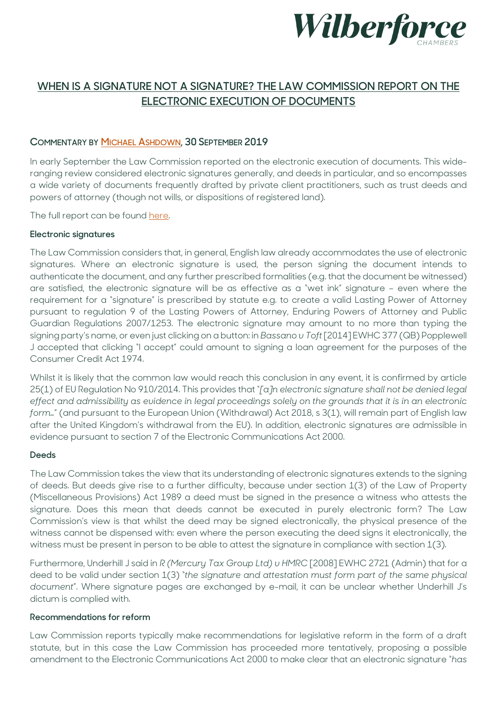

# **WHEN IS A SIGNATURE NOT A SIGNATURE? THE LAW COMMISSION REPORT ON THE ELECTRONIC EXECUTION OF DOCUMENTS**

### **COMMENTARY BY [MICHAEL ASHDOWN,](https://www.wilberforce.co.uk/people/michael-ashdown/) 30 SEPTEMBER 2019**

In early September the Law Commission reported on the electronic execution of documents. This wideranging review considered electronic signatures generally, and deeds in particular, and so encompasses a wide variety of documents frequently drafted by private client practitioners, such as trust deeds and powers of attorney (though not wills, or dispositions of registered land).

The full report can be found [here.](https://www.lawcom.gov.uk/project/electronic-execution-of-documents/)

#### **Electronic signatures**

The Law Commission considers that, in general, English law already accommodates the use of electronic signatures. Where an electronic signature is used, the person signing the document intends to authenticate the document, and any further prescribed formalities (e.g. that the document be witnessed) are satisfied, the electronic signature will be as effective as a "wet ink" signature – even where the requirement for a "signature" is prescribed by statute e.g. to create a valid Lasting Power of Attorney pursuant to regulation 9 of the Lasting Powers of Attorney, Enduring Powers of Attorney and Public Guardian Regulations 2007/1253. The electronic signature may amount to no more than typing the signing party's name, or even just clicking on a button: in *Bassano v Toft* [2014] EWHC 377 (QB) Popplewell J accepted that clicking "I accept" could amount to signing a loan agreement for the purposes of the Consumer Credit Act 1974.

Whilst it is likely that the common law would reach this conclusion in any event, it is confirmed by article 25(1) of EU Regulation No 910/2014. This provides that "*[a]n electronic signature shall not be denied legal effect and admissibility as evidence in legal proceedings solely on the grounds that it is in an electronic*  form..." (and pursuant to the European Union (Withdrawal) Act 2018, s 3(1), will remain part of English law after the United Kingdom's withdrawal from the EU). In addition, electronic signatures are admissible in evidence pursuant to section 7 of the Electronic Communications Act 2000.

#### **Deeds**

The Law Commission takes the view that its understanding of electronic signatures extends to the signing of deeds. But deeds give rise to a further difficulty, because under section 1(3) of the Law of Property (Miscellaneous Provisions) Act 1989 a deed must be signed in the presence a witness who attests the signature. Does this mean that deeds cannot be executed in purely electronic form? The Law Commission's view is that whilst the deed may be signed electronically, the physical presence of the witness cannot be dispensed with: even where the person executing the deed signs it electronically, the witness must be present in person to be able to attest the signature in compliance with section 1(3).

Furthermore, Underhill J said in *R (Mercury Tax Group Ltd) v HMRC* [2008] EWHC 2721 (Admin) that for a deed to be valid under section 1(3) "*the signature and attestation must form part of the same physical document*". Where signature pages are exchanged by e-mail, it can be unclear whether Underhill J's dictum is complied with.

#### **Recommendations for reform**

Law Commission reports typically make recommendations for legislative reform in the form of a draft statute, but in this case the Law Commission has proceeded more tentatively, proposing a possible amendment to the Electronic Communications Act 2000 to make clear that an electronic signature "*has*